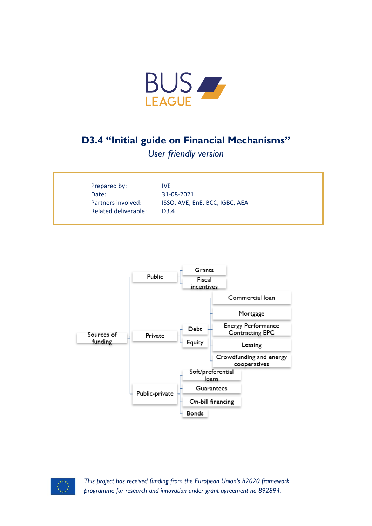

## **D3.4 "Initial guide on Financial Mechanisms"**

*User friendly version*

| Prepared by:         | IVE.                           |
|----------------------|--------------------------------|
| Date:                | 31-08-2021                     |
| Partners involved:   | ISSO, AVE, EnE, BCC, IGBC, AEA |
| Related deliverable: | D <sub>3</sub> 4               |
|                      |                                |





*This project has received funding from the European Union's h2020 framework programme for research and innovation under grant agreement no 892894.*